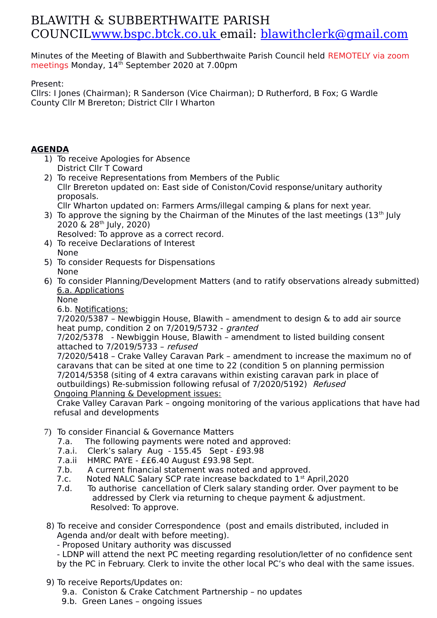## BLAWITH & SUBBERTHWAITE PARISH COUNCI[L www.bspc.btck.co.uk](http://www.bspc.btck.co.uk/) email: [blawithclerk@gmail.com](mailto:blawithclerk@gmail.com)

Minutes of the Meeting of Blawith and Subberthwaite Parish Council held REMOTELY via zoom meetings Monday, 14<sup>th</sup> September 2020 at 7.00pm

Present:

Cllrs: I Jones (Chairman); R Sanderson (Vice Chairman); D Rutherford, B Fox; G Wardle County Cllr M Brereton; District Cllr I Wharton

## **AGENDA**

- 1) To receive Apologies for Absence District Cllr T Coward
- 2) To receive Representations from Members of the Public Cllr Brereton updated on: East side of Coniston/Covid response/unitary authority proposals. Cllr Wharton updated on: Farmers Arms/illegal camping & plans for next year.
- 3) To approve the signing by the Chairman of the Minutes of the last meetings  $(13<sup>th</sup>$  July 2020 & 28th July, 2020)

Resolved: To approve as a correct record.

- 4) To receive Declarations of Interest None
- 5) To consider Requests for Dispensations None
- 6) To consider Planning/Development Matters (and to ratify observations already submitted) 6.a. Applications

None

6.b. Notifications:

 7/2020/5387 – Newbiggin House, Blawith – amendment to design & to add air source heat pump, condition 2 on 7/2019/5732 - granted

7/202/5378 - Newbiggin House, Blawith – amendment to listed building consent attached to 7/2019/5733 – refused

7/2020/5418 – Crake Valley Caravan Park – amendment to increase the maximum no of caravans that can be sited at one time to 22 (condition 5 on planning permission 7/2014/5358 (siting of 4 extra caravans within existing caravan park in place of outbuildings) Re-submission following refusal of 7/2020/5192) Refused Ongoing Planning & Development issues:

Crake Valley Caravan Park – ongoing monitoring of the various applications that have had refusal and developments

- 7) To consider Financial & Governance Matters
	- 7.a. The following payments were noted and approved:
	- 7.a.i. Clerk's salary Aug 155.45 Sept £93.98
	- 7.a.ii HMRC PAYE ££6.40 August £93.98 Sept.
	- 7.b. A current financial statement was noted and approved.
	- 7.c. Noted NALC Salary SCP rate increase backdated to 1<sup>st</sup> April, 2020
	- 7.d. To authorise cancellation of Clerk salary standing order. Over payment to be addressed by Clerk via returning to cheque payment & adjustment. Resolved: To approve.
- 8) To receive and consider Correspondence (post and emails distributed, included in Agenda and/or dealt with before meeting).
	- Proposed Unitary authority was discussed

- LDNP will attend the next PC meeting regarding resolution/letter of no confidence sent by the PC in February. Clerk to invite the other local PC's who deal with the same issues.

- 9) To receive Reports/Updates on:
	- 9.a. Coniston & Crake Catchment Partnership no updates
	- 9.b. Green Lanes ongoing issues